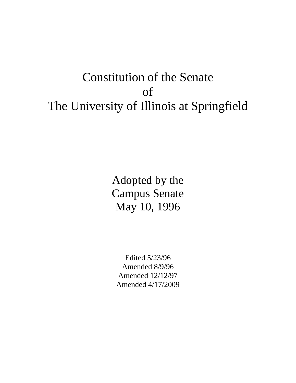# Constitution of the Senate of The University of Illinois at Springfield

Adopted by the Campus Senate May 10, 1996

Edited 5/23/96 Amended 8/9/96 Amended 12/12/97 Amended 4/17/2009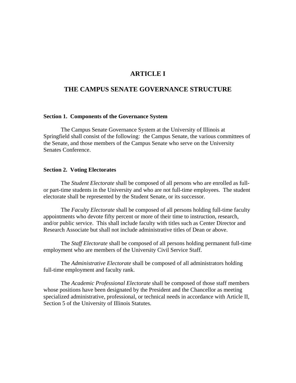# **ARTICLE I**

## **THE CAMPUS SENATE GOVERNANCE STRUCTURE**

#### **Section 1. Components of the Governance System**

 The Campus Senate Governance System at the University of Illinois at Springfield shall consist of the following: the Campus Senate, the various committees of the Senate, and those members of the Campus Senate who serve on the University Senates Conference.

#### **Section 2. Voting Electorates**

 The *Student Electorate* shall be composed of all persons who are enrolled as fullor part-time students in the University and who are not full-time employees. The student electorate shall be represented by the Student Senate, or its successor.

 The *Faculty Electorate* shall be composed of all persons holding full-time faculty appointments who devote fifty percent or more of their time to instruction, research, and/or public service. This shall include faculty with titles such as Center Director and Research Associate but shall not include administrative titles of Dean or above.

 The *Staff Electorate* shall be composed of all persons holding permanent full-time employment who are members of the University Civil Service Staff.

 The *Administrative Electorate* shall be composed of all administrators holding full-time employment and faculty rank.

 The *Academic Professional Electorate* shall be composed of those staff members whose positions have been designated by the President and the Chancellor as meeting specialized administrative, professional, or technical needs in accordance with Article II, Section 5 of the University of Illinois Statutes.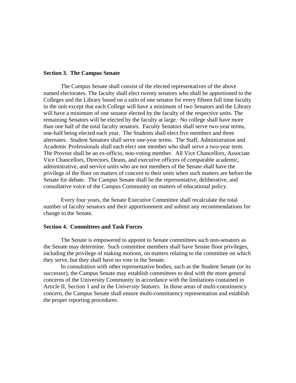#### **Section 3. The Campus Senate**

 The Campus Senate shall consist of the elected representatives of the above named electorates. The faculty shall elect twenty senators who shall be apportioned to the Colleges and the Library based on a ratio of one senator for every fifteen full time faculty in the unit except that each College will have a minimum of two Senators and the Library will have a minimum of one senator elected by the faculty of the respective units. The remaining Senators will be elected by the faculty at large. No college shall have more than one half of the total faculty senators. Faculty Senators shall serve two-year terms, one-half being elected each year. The Students shall elect five members and three alternates. Student Senators shall serve one-year terms. The Staff, Administration and Academic Professionals shall each elect one member who shall serve a two-year term. The Provost shall be an ex-officio, non-voting member. All Vice Chancellors, Associate Vice Chancellors, Directors, Deans, and executive officers of comparable academic, administrative, and service units who are not members of the Senate shall have the privilege of the floor on matters of concern to their units when such matters are before the Senate for debate. The Campus Senate shall be the representative, deliberative, and consultative voice of the Campus Community on matters of educational policy.

Every four years, the Senate Executive Committee shall recalculate the total number of faculty senators and their apportionment and submit any recommendations for change to the Senate.

### **Section 4. Committees and Task Forces**

 The Senate is empowered to appoint to Senate committees such non-senators as the Senate may determine. Such committee members shall have Senate floor privileges, including the privilege of making motions, on matters relating to the committee on which they serve, but they shall have no vote in the Senate.

 In consultation with other representative bodies, such as the Student Senate (or its successor), the Campus Senate may establish committees to deal with the more general concerns of the University Community in accordance with the limitations contained in Article II, Section 1 and in the *University Statutes*. In those areas of multi-constituency concern, the Campus Senate shall ensure multi-constituency representation and establish the proper reporting procedures.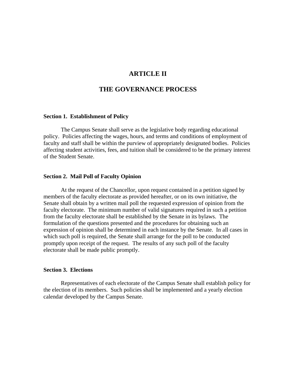## **ARTICLE II**

## **THE GOVERNANCE PROCESS**

#### **Section 1. Establishment of Policy**

 The Campus Senate shall serve as the legislative body regarding educational policy. Policies affecting the wages, hours, and terms and conditions of employment of faculty and staff shall be within the purview of appropriately designated bodies. Policies affecting student activities, fees, and tuition shall be considered to be the primary interest of the Student Senate.

#### **Section 2. Mail Poll of Faculty Opinion**

 At the request of the Chancellor, upon request contained in a petition signed by members of the faculty electorate as provided hereafter, or on its own initiative, the Senate shall obtain by a written mail poll the requested expression of opinion from the faculty electorate. The minimum number of valid signatures required in such a petition from the faculty electorate shall be established by the Senate in its bylaws. The formulation of the questions presented and the procedures for obtaining such an expression of opinion shall be determined in each instance by the Senate. In all cases in which such poll is required, the Senate shall arrange for the poll to be conducted promptly upon receipt of the request. The results of any such poll of the faculty electorate shall be made public promptly.

#### **Section 3. Elections**

 Representatives of each electorate of the Campus Senate shall establish policy for the election of its members. Such policies shall be implemented and a yearly election calendar developed by the Campus Senate.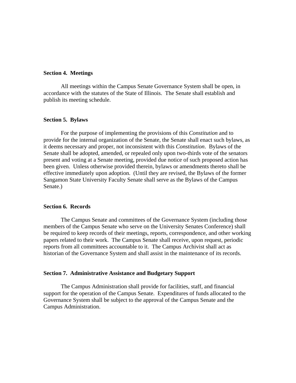#### **Section 4. Meetings**

 All meetings within the Campus Senate Governance System shall be open, in accordance with the statutes of the State of Illinois. The Senate shall establish and publish its meeting schedule.

#### **Section 5. Bylaws**

 For the purpose of implementing the provisions of this *Constitution* and to provide for the internal organization of the Senate, the Senate shall enact such bylaws, as it deems necessary and proper, not inconsistent with this *Constitution*. Bylaws of the Senate shall be adopted, amended, or repealed only upon two-thirds vote of the senators present and voting at a Senate meeting, provided due notice of such proposed action has been given. Unless otherwise provided therein, bylaws or amendments thereto shall be effective immediately upon adoption. (Until they are revised, the Bylaws of the former Sangamon State University Faculty Senate shall serve as the Bylaws of the Campus Senate.)

#### **Section 6. Records**

 The Campus Senate and committees of the Governance System (including those members of the Campus Senate who serve on the University Senates Conference) shall be required to keep records of their meetings, reports, correspondence, and other working papers related to their work. The Campus Senate shall receive, upon request, periodic reports from all committees accountable to it. The Campus Archivist shall act as historian of the Governance System and shall assist in the maintenance of its records.

#### **Section 7. Administrative Assistance and Budgetary Support**

 The Campus Administration shall provide for facilities, staff, and financial support for the operation of the Campus Senate. Expenditures of funds allocated to the Governance System shall be subject to the approval of the Campus Senate and the Campus Administration.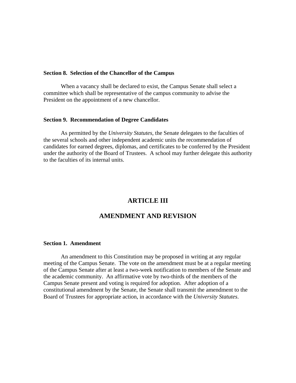#### **Section 8. Selection of the Chancellor of the Campus**

 When a vacancy shall be declared to exist, the Campus Senate shall select a committee which shall be representative of the campus community to advise the President on the appointment of a new chancellor.

#### **Section 9. Recommendation of Degree Candidates**

 As permitted by the *University Statutes*, the Senate delegates to the faculties of the several schools and other independent academic units the recommendation of candidates for earned degrees, diplomas, and certificates to be conferred by the President under the authority of the Board of Trustees. A school may further delegate this authority to the faculties of its internal units.

# **ARTICLE III**

## **AMENDMENT AND REVISION**

## **Section 1. Amendment**

 An amendment to this Constitution may be proposed in writing at any regular meeting of the Campus Senate. The vote on the amendment must be at a regular meeting of the Campus Senate after at least a two-week notification to members of the Senate and the academic community. An affirmative vote by two-thirds of the members of the Campus Senate present and voting is required for adoption. After adoption of a constitutional amendment by the Senate, the Senate shall transmit the amendment to the Board of Trustees for appropriate action, in accordance with the *University Statutes*.